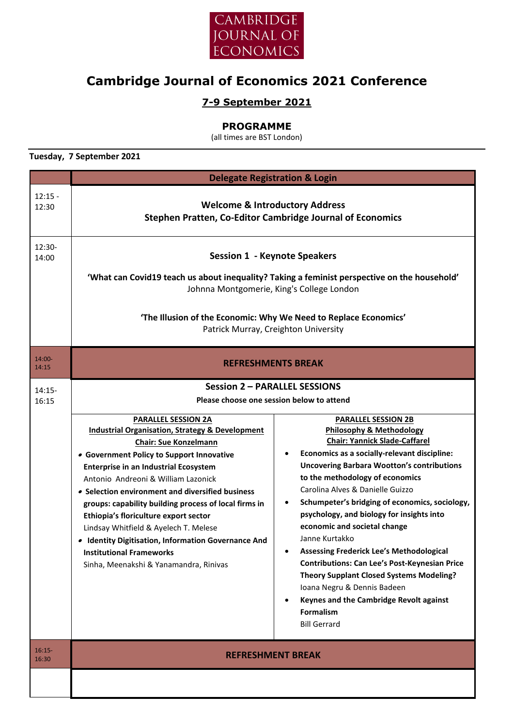

# **Cambridge Journal of Economics 2021 Conference**

## **7-9 September 2021**

#### **PROGRAMME**

(all times are BST London)

**Tuesday, 7 September 2021**

|                    | <b>Delegate Registration &amp; Login</b>                                                                                                                                                                                                                                                                                                                                                                                                                                                                                                                                                                                                                                             |                                                                                                                                                                                                                                                                                                                                                                                                                                                                                                                                                                                                                                                                                                                                 |  |
|--------------------|--------------------------------------------------------------------------------------------------------------------------------------------------------------------------------------------------------------------------------------------------------------------------------------------------------------------------------------------------------------------------------------------------------------------------------------------------------------------------------------------------------------------------------------------------------------------------------------------------------------------------------------------------------------------------------------|---------------------------------------------------------------------------------------------------------------------------------------------------------------------------------------------------------------------------------------------------------------------------------------------------------------------------------------------------------------------------------------------------------------------------------------------------------------------------------------------------------------------------------------------------------------------------------------------------------------------------------------------------------------------------------------------------------------------------------|--|
| $12:15 -$<br>12:30 | <b>Welcome &amp; Introductory Address</b><br>Stephen Pratten, Co-Editor Cambridge Journal of Economics                                                                                                                                                                                                                                                                                                                                                                                                                                                                                                                                                                               |                                                                                                                                                                                                                                                                                                                                                                                                                                                                                                                                                                                                                                                                                                                                 |  |
| $12:30-$<br>14:00  | <b>Session 1 - Keynote Speakers</b><br>'What can Covid19 teach us about inequality? Taking a feminist perspective on the household'<br>Johnna Montgomerie, King's College London<br>'The Illusion of the Economic: Why We Need to Replace Economics'<br>Patrick Murray, Creighton University                                                                                                                                                                                                                                                                                                                                                                                         |                                                                                                                                                                                                                                                                                                                                                                                                                                                                                                                                                                                                                                                                                                                                 |  |
| 14:00-<br>14:15    | <b>REFRESHMENTS BREAK</b>                                                                                                                                                                                                                                                                                                                                                                                                                                                                                                                                                                                                                                                            |                                                                                                                                                                                                                                                                                                                                                                                                                                                                                                                                                                                                                                                                                                                                 |  |
| $14:15-$<br>16:15  | <b>Session 2 - PARALLEL SESSIONS</b><br>Please choose one session below to attend<br><b>PARALLEL SESSION 2A</b><br><b>Industrial Organisation, Strategy &amp; Development</b><br><b>Chair: Sue Konzelmann</b><br>• Government Policy to Support Innovative<br><b>Enterprise in an Industrial Ecosystem</b><br>Antonio Andreoni & William Lazonick<br>• Selection environment and diversified business<br>groups: capability building process of local firms in<br>Ethiopia's floriculture export sector<br>Lindsay Whitfield & Ayelech T. Melese<br>• Identity Digitisation, Information Governance And<br><b>Institutional Frameworks</b><br>Sinha, Meenakshi & Yanamandra, Rinivas | <b>PARALLEL SESSION 2B</b><br><b>Philosophy &amp; Methodology</b><br><b>Chair: Yannick Slade-Caffarel</b><br>Economics as a socially-relevant discipline:<br><b>Uncovering Barbara Wootton's contributions</b><br>to the methodology of economics<br>Carolina Alves & Danielle Guizzo<br>Schumpeter's bridging of economics, sociology,<br>psychology, and biology for insights into<br>economic and societal change<br>Janne Kurtakko<br>Assessing Frederick Lee's Methodological<br><b>Contributions: Can Lee's Post-Keynesian Price</b><br><b>Theory Supplant Closed Systems Modeling?</b><br>Ioana Negru & Dennis Badeen<br>Keynes and the Cambridge Revolt against<br>$\bullet$<br><b>Formalism</b><br><b>Bill Gerrard</b> |  |
| $16:15-$<br>16:30  | <b>REFRESHMENT BREAK</b>                                                                                                                                                                                                                                                                                                                                                                                                                                                                                                                                                                                                                                                             |                                                                                                                                                                                                                                                                                                                                                                                                                                                                                                                                                                                                                                                                                                                                 |  |
|                    |                                                                                                                                                                                                                                                                                                                                                                                                                                                                                                                                                                                                                                                                                      |                                                                                                                                                                                                                                                                                                                                                                                                                                                                                                                                                                                                                                                                                                                                 |  |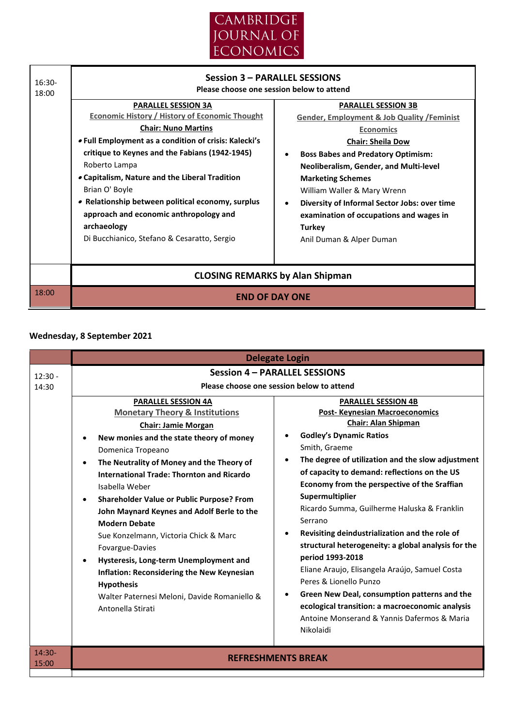



### **Wednesday, 8 September 2021**

|                    |                                                                                                                                                                                                                                                                                                                                                                                                                                                                                                                                                                                                                                                                                       | <b>Delegate Login</b>                                                                                                                                                                                                                                                                                                                                                                                                                                                                                                                                                                                                                                                                                                                                                                                                 |
|--------------------|---------------------------------------------------------------------------------------------------------------------------------------------------------------------------------------------------------------------------------------------------------------------------------------------------------------------------------------------------------------------------------------------------------------------------------------------------------------------------------------------------------------------------------------------------------------------------------------------------------------------------------------------------------------------------------------|-----------------------------------------------------------------------------------------------------------------------------------------------------------------------------------------------------------------------------------------------------------------------------------------------------------------------------------------------------------------------------------------------------------------------------------------------------------------------------------------------------------------------------------------------------------------------------------------------------------------------------------------------------------------------------------------------------------------------------------------------------------------------------------------------------------------------|
| $12:30 -$<br>14:30 | <b>PARALLEL SESSION 4A</b><br><b>Monetary Theory &amp; Institutions</b><br><b>Chair: Jamie Morgan</b><br>New monies and the state theory of money<br>$\bullet$<br>Domenica Tropeano<br>The Neutrality of Money and the Theory of<br><b>International Trade: Thornton and Ricardo</b><br>Isabella Weber<br><b>Shareholder Value or Public Purpose? From</b><br>John Maynard Keynes and Adolf Berle to the<br><b>Modern Debate</b><br>Sue Konzelmann, Victoria Chick & Marc<br>Fovargue-Davies<br>Hysteresis, Long-term Unemployment and<br><b>Inflation: Reconsidering the New Keynesian</b><br><b>Hypothesis</b><br>Walter Paternesi Meloni, Davide Romaniello &<br>Antonella Stirati | <b>Session 4 - PARALLEL SESSIONS</b><br>Please choose one session below to attend<br><b>PARALLEL SESSION 4B</b><br><b>Post-Keynesian Macroeconomics</b><br><b>Chair: Alan Shipman</b><br><b>Godley's Dynamic Ratios</b><br>Smith, Graeme<br>The degree of utilization and the slow adjustment<br>$\bullet$<br>of capacity to demand: reflections on the US<br>Economy from the perspective of the Sraffian<br>Supermultiplier<br>Ricardo Summa, Guilherme Haluska & Franklin<br>Serrano<br>Revisiting deindustrialization and the role of<br>٠<br>structural heterogeneity: a global analysis for the<br>period 1993-2018<br>Eliane Araujo, Elisangela Araújo, Samuel Costa<br>Peres & Lionello Punzo<br>Green New Deal, consumption patterns and the<br>$\bullet$<br>ecological transition: a macroeconomic analysis |
| $14:30-$           |                                                                                                                                                                                                                                                                                                                                                                                                                                                                                                                                                                                                                                                                                       | Antoine Monserand & Yannis Dafermos & Maria<br>Nikolaidi                                                                                                                                                                                                                                                                                                                                                                                                                                                                                                                                                                                                                                                                                                                                                              |
| 15:00              |                                                                                                                                                                                                                                                                                                                                                                                                                                                                                                                                                                                                                                                                                       | <b>REFRESHMENTS BREAK</b>                                                                                                                                                                                                                                                                                                                                                                                                                                                                                                                                                                                                                                                                                                                                                                                             |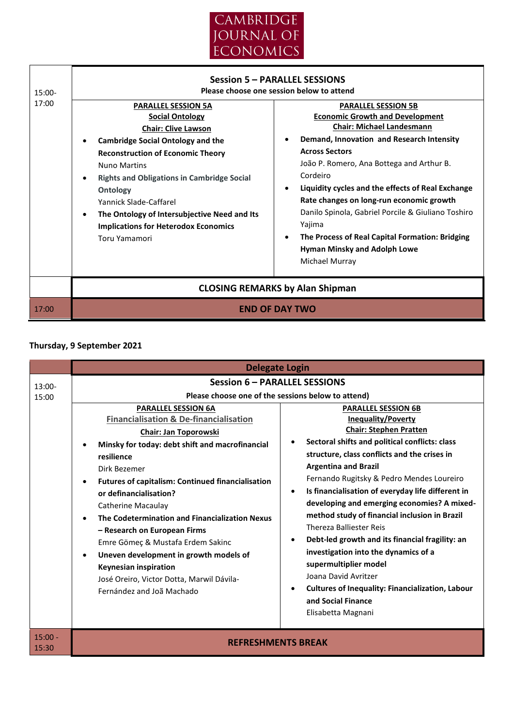

| 15:00-<br>17:00 | <b>Session 5 - PARALLEL SESSIONS</b><br>Please choose one session below to attend<br><b>PARALLEL SESSION 5A</b><br><b>PARALLEL SESSION 5B</b><br><b>Economic Growth and Development</b><br><b>Social Ontology</b><br><b>Chair: Michael Landesmann</b><br><b>Chair: Clive Lawson</b><br>Demand, Innovation and Research Intensity<br><b>Cambridge Social Ontology and the</b><br><b>Across Sectors</b><br><b>Reconstruction of Economic Theory</b><br>João P. Romero, Ana Bottega and Arthur B.<br><b>Nuno Martins</b><br>Cordeiro<br><b>Rights and Obligations in Cambridge Social</b><br>$\bullet$<br>Liquidity cycles and the effects of Real Exchange<br>$\bullet$<br>Ontology<br>Rate changes on long-run economic growth<br>Yannick Slade-Caffarel<br>Danilo Spinola, Gabriel Porcile & Giuliano Toshiro<br>The Ontology of Intersubjective Need and Its<br>Yajima<br><b>Implications for Heterodox Economics</b><br>The Process of Real Capital Formation: Bridging<br>Toru Yamamori<br><b>Hyman Minsky and Adolph Lowe</b><br>Michael Murray |  |
|-----------------|-----------------------------------------------------------------------------------------------------------------------------------------------------------------------------------------------------------------------------------------------------------------------------------------------------------------------------------------------------------------------------------------------------------------------------------------------------------------------------------------------------------------------------------------------------------------------------------------------------------------------------------------------------------------------------------------------------------------------------------------------------------------------------------------------------------------------------------------------------------------------------------------------------------------------------------------------------------------------------------------------------------------------------------------------------|--|
| 17:00           | <b>CLOSING REMARKS by Alan Shipman</b><br><b>FND OF DAY TWO</b>                                                                                                                                                                                                                                                                                                                                                                                                                                                                                                                                                                                                                                                                                                                                                                                                                                                                                                                                                                                     |  |

## **Thursday, 9 September 2021**

|                    | <b>Delegate Login</b>                                                                                                                                                                                                                                                                                                                                                                                                                                                                                                                                                                                                                                                                                                                                                                                                                      |                                                                                                                                                                                                                                                                                                                                                                                                                                                                                                                                                    |  |  |
|--------------------|--------------------------------------------------------------------------------------------------------------------------------------------------------------------------------------------------------------------------------------------------------------------------------------------------------------------------------------------------------------------------------------------------------------------------------------------------------------------------------------------------------------------------------------------------------------------------------------------------------------------------------------------------------------------------------------------------------------------------------------------------------------------------------------------------------------------------------------------|----------------------------------------------------------------------------------------------------------------------------------------------------------------------------------------------------------------------------------------------------------------------------------------------------------------------------------------------------------------------------------------------------------------------------------------------------------------------------------------------------------------------------------------------------|--|--|
| 13:00-             | <b>Session 6 - PARALLEL SESSIONS</b><br>Please choose one of the sessions below to attend)                                                                                                                                                                                                                                                                                                                                                                                                                                                                                                                                                                                                                                                                                                                                                 |                                                                                                                                                                                                                                                                                                                                                                                                                                                                                                                                                    |  |  |
| 15:00              | <b>PARALLEL SESSION 6A</b><br><b>Financialisation &amp; De-financialisation</b><br><b>Chair: Jan Toporowski</b><br>$\bullet$<br>Minsky for today: debt shift and macrofinancial<br>resilience<br><b>Argentina and Brazil</b><br>Dirk Bezemer<br><b>Futures of capitalism: Continued financialisation</b><br>$\bullet$<br>$\bullet$<br>or definancialisation?<br><b>Catherine Macaulay</b><br>The Codetermination and Financialization Nexus<br><b>Thereza Balliester Reis</b><br>- Research on European Firms<br>$\bullet$<br>Emre Gömeç & Mustafa Erdem Sakinc<br>Uneven development in growth models of<br>$\bullet$<br>supermultiplier model<br><b>Keynesian inspiration</b><br>Joana David Avritzer<br>José Oreiro, Victor Dotta, Marwil Dávila-<br>$\bullet$<br>Fernández and Joã Machado<br>and Social Finance<br>Elisabetta Magnani | <b>PARALLEL SESSION 6B</b><br><b>Inequality/Poverty</b><br><b>Chair: Stephen Pratten</b><br>Sectoral shifts and political conflicts: class<br>structure, class conflicts and the crises in<br>Fernando Rugitsky & Pedro Mendes Loureiro<br>Is financialisation of everyday life different in<br>developing and emerging economies? A mixed-<br>method study of financial inclusion in Brazil<br>Debt-led growth and its financial fragility: an<br>investigation into the dynamics of a<br><b>Cultures of Inequality: Financialization, Labour</b> |  |  |
| $15:00 -$<br>15:30 | <b>REFRESHMENTS BREAK</b>                                                                                                                                                                                                                                                                                                                                                                                                                                                                                                                                                                                                                                                                                                                                                                                                                  |                                                                                                                                                                                                                                                                                                                                                                                                                                                                                                                                                    |  |  |